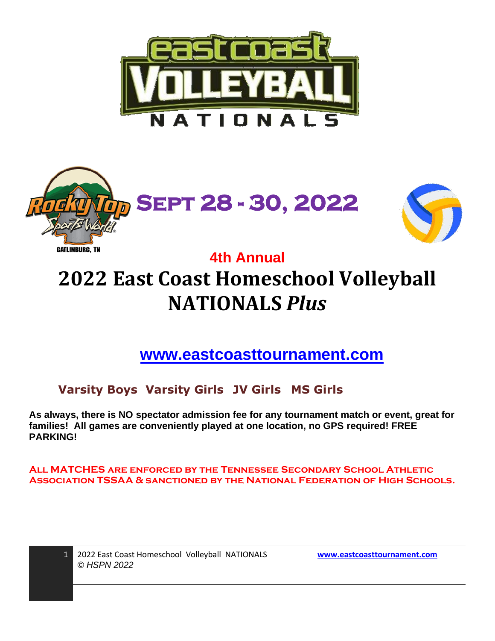





### **4th Annual**

# **2022 East Coast Homeschool Volleyball NATIONALS** *Plus*

**[www.eastcoasttournament.com](http://www.eastcoasttournament.com/)**

**Varsity Boys Varsity Girls JV Girls MS Girls**

**As always, there is NO spectator admission fee for any tournament match or event, great for families! All games are conveniently played at one location, no GPS required! FREE PARKING!**

**All MATCHES are enforced by the Tennessee Secondary School Athletic Association TSSAA & sanctioned by the National Federation of High Schools.**

| 1 2022 East Coast Homeschool Volleybal |  |
|----------------------------------------|--|
| © HSPN 2022                            |  |

II NATIONALS **[www.eastcoasttournament.com](http://www.eastcoasttournament.com/)**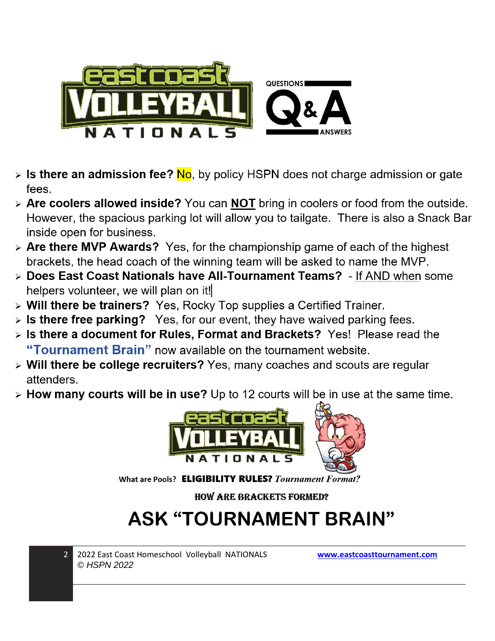

- $\triangleright$  Is there an admission fee? No, by policy HSPN does not charge admission or gate fees.
- > Are coolers allowed inside? You can NOT bring in coolers or food from the outside. However, the spacious parking lot will allow you to tailgate. There is also a Snack Bar inside open for business.
- $\triangleright$  Are there MVP Awards? Yes, for the championship game of each of the highest brackets, the head coach of the winning team will be asked to name the MVP.
- > Does East Coast Nationals have All-Tournament Teams? If AND when some helpers volunteer, we will plan on it!
- > Will there be trainers? Yes, Rocky Top supplies a Certified Trainer.
- $\triangleright$  Is there free parking? Yes, for our event, they have waived parking fees.
- > Is there a document for Rules, Format and Brackets? Yes! Please read the "Tournament Brain" now available on the tournament website.
- > Will there be college recruiters? Yes, many coaches and scouts are regular attenders.
- > How many courts will be in use? Up to 12 courts will be in use at the same time.



What are Pools? ELIGIBILITY RULES? Tournament Format?

**HOW ARE BRACKETS FORMED?** 

## **ASK "TOURNAMENT BRAIN"**



2022 East Coast Homeschool Volleyball NATIONALS © HSPN 2022

www.eastcoasttournament.com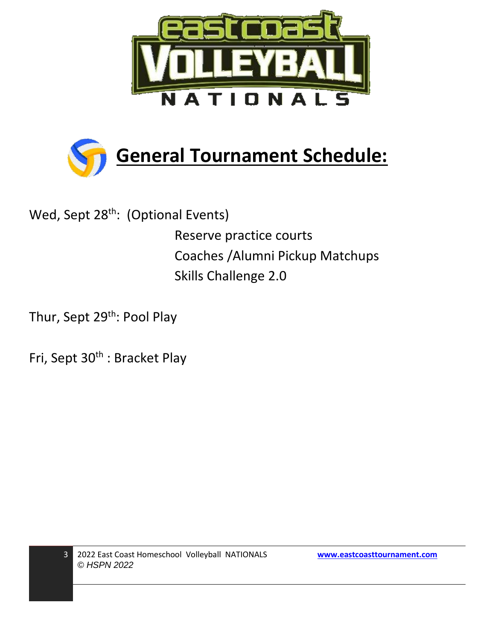



Wed, Sept 28<sup>th</sup>: (Optional Events) Reserve practice courts Coaches /Alumni Pickup Matchups Skills Challenge 2.0

Thur, Sept 29<sup>th</sup>: Pool Play

Fri, Sept 30<sup>th</sup> : Bracket Play

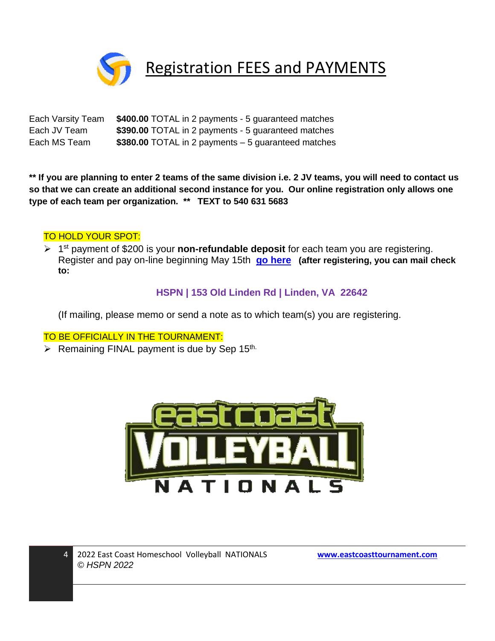

### Registration FEES and PAYMENTS

Each Varsity Team **\$400.00** TOTAL in 2 payments - 5 guaranteed matches Each JV Team **\$390.00** TOTAL in 2 payments - 5 guaranteed matches Each MS Team **\$380.00** TOTAL in 2 payments – 5 guaranteed matches

**\*\* If you are planning to enter 2 teams of the same division i.e. 2 JV teams, you will need to contact us so that we can create an additional second instance for you. Our online registration only allows one type of each team per organization. \*\* TEXT to 540 631 5683**

#### TO HOLD YOUR SPOT:

➢ 1 st payment of \$200 is your **non-refundable deposit** for each team you are registering. Register and pay on-line beginning May 15th **[go here](http://bit.ly/2zsilMi) (after registering, you can mail check to:** 

#### **HSPN | 153 Old Linden Rd | Linden, VA 22642**

(If mailing, please memo or send a note as to which team(s) you are registering.

#### TO BE OFFICIALLY IN THE TOURNAMENT:

 $\triangleright$  Remaining FINAL payment is due by Sep 15<sup>th.</sup>